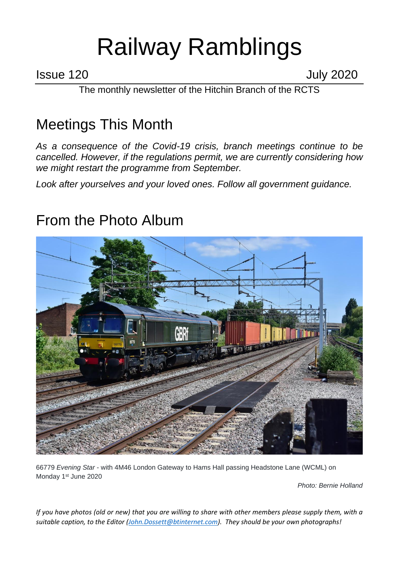# Railway Ramblings

Issue 120 July 2020

The monthly newsletter of the Hitchin Branch of the RCTS

# Meetings This Month

*As a consequence of the Covid-19 crisis, branch meetings continue to be cancelled. However, if the regulations permit, we are currently considering how we might restart the programme from September.*

*Look after yourselves and your loved ones. Follow all government guidance.*

# From the Photo Album



66779 *Evening Star -* with 4M46 London Gateway to Hams Hall passing Headstone Lane (WCML) on Monday 1<sup>st</sup> June 2020

*Photo: Bernie Holland*

*If you have photos (old or new) that you are willing to share with other members please supply them, with a suitable caption, to the Editor [\(John.Dossett@btinternet.com\)](mailto:John.Dossett@btinternet.com). They should be your own photographs!*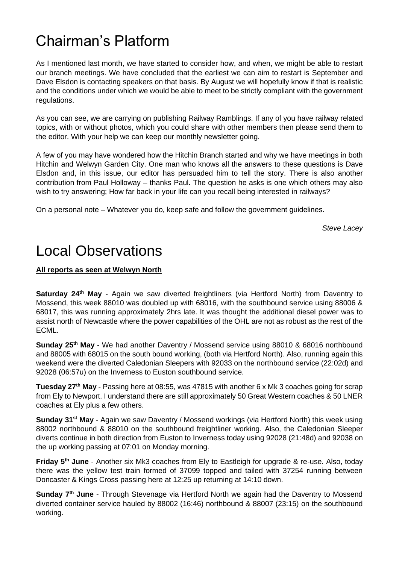# Chairman's Platform

As I mentioned last month, we have started to consider how, and when, we might be able to restart our branch meetings. We have concluded that the earliest we can aim to restart is September and Dave Elsdon is contacting speakers on that basis. By August we will hopefully know if that is realistic and the conditions under which we would be able to meet to be strictly compliant with the government regulations.

As you can see, we are carrying on publishing Railway Ramblings. If any of you have railway related topics, with or without photos, which you could share with other members then please send them to the editor. With your help we can keep our monthly newsletter going.

A few of you may have wondered how the Hitchin Branch started and why we have meetings in both Hitchin and Welwyn Garden City. One man who knows all the answers to these questions is Dave Elsdon and, in this issue, our editor has persuaded him to tell the story. There is also another contribution from Paul Holloway – thanks Paul. The question he asks is one which others may also wish to try answering; How far back in your life can you recall being interested in railways?

On a personal note – Whatever you do, keep safe and follow the government guidelines.

*Steve Lacey*

# Local Observations

#### **All reports as seen at Welwyn North**

**Saturday 24th May** - Again we saw diverted freightliners (via Hertford North) from Daventry to Mossend, this week 88010 was doubled up with 68016, with the southbound service using 88006 & 68017, this was running approximately 2hrs late. It was thought the additional diesel power was to assist north of Newcastle where the power capabilities of the OHL are not as robust as the rest of the ECML.

**Sunday 25th May** - We had another Daventry / Mossend service using 88010 & 68016 northbound and 88005 with 68015 on the south bound working, (both via Hertford North). Also, running again this weekend were the diverted Caledonian Sleepers with 92033 on the northbound service (22:02d) and 92028 (06:57u) on the Inverness to Euston southbound service.

**Tuesday 27th May** - Passing here at 08:55, was 47815 with another 6 x Mk 3 coaches going for scrap from Ely to Newport. I understand there are still approximately 50 Great Western coaches & 50 LNER coaches at Ely plus a few others.

**Sunday 31st May** - Again we saw Daventry / Mossend workings (via Hertford North) this week using 88002 northbound & 88010 on the southbound freightliner working. Also, the Caledonian Sleeper diverts continue in both direction from Euston to Inverness today using 92028 (21:48d) and 92038 on the up working passing at 07:01 on Monday morning.

**Friday 5th June** - Another six Mk3 coaches from Ely to Eastleigh for upgrade & re-use. Also, today there was the yellow test train formed of 37099 topped and tailed with 37254 running between Doncaster & Kings Cross passing here at 12:25 up returning at 14:10 down.

**Sunday 7th June** - Through Stevenage via Hertford North we again had the Daventry to Mossend diverted container service hauled by 88002 (16:46) northbound & 88007 (23:15) on the southbound working.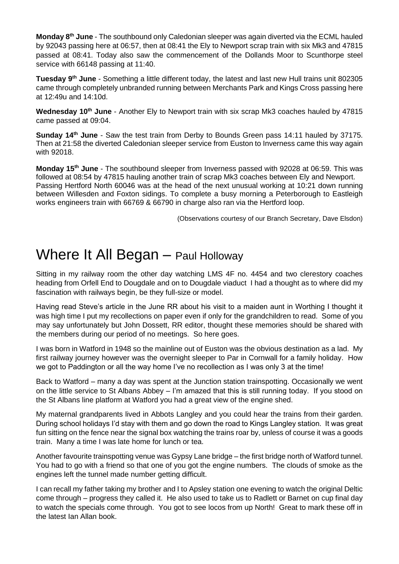**Monday 8th June** - The southbound only Caledonian sleeper was again diverted via the ECML hauled by 92043 passing here at 06:57, then at 08:41 the Ely to Newport scrap train with six Mk3 and 47815 passed at 08:41. Today also saw the commencement of the Dollands Moor to Scunthorpe steel service with 66148 passing at 11:40.

**Tuesday 9th June** - Something a little different today, the latest and last new Hull trains unit 802305 came through completely unbranded running between Merchants Park and Kings Cross passing here at 12:49u and 14:10d.

**Wednesday 10th June** - Another Ely to Newport train with six scrap Mk3 coaches hauled by 47815 came passed at 09:04.

**Sunday 14th June** - Saw the test train from Derby to Bounds Green pass 14:11 hauled by 37175. Then at 21:58 the diverted Caledonian sleeper service from Euston to Inverness came this way again with 92018.

**Monday 15th June** - The southbound sleeper from Inverness passed with 92028 at 06:59. This was followed at 08:54 by 47815 hauling another train of scrap Mk3 coaches between Ely and Newport. Passing Hertford North 60046 was at the head of the next unusual working at 10:21 down running between Willesden and Foxton sidings. To complete a busy morning a Peterborough to Eastleigh works engineers train with 66769 & 66790 in charge also ran via the Hertford loop.

(Observations courtesy of our Branch Secretary, Dave Elsdon)

#### Where It All Began – Paul Holloway

Sitting in my railway room the other day watching LMS 4F no. 4454 and two clerestory coaches heading from Orfell End to Dougdale and on to Dougdale viaduct I had a thought as to where did my fascination with railways begin, be they full-size or model.

Having read Steve's article in the June RR about his visit to a maiden aunt in Worthing I thought it was high time I put my recollections on paper even if only for the grandchildren to read. Some of you may say unfortunately but John Dossett, RR editor, thought these memories should be shared with the members during our period of no meetings. So here goes.

I was born in Watford in 1948 so the mainline out of Euston was the obvious destination as a lad. My first railway journey however was the overnight sleeper to Par in Cornwall for a family holiday. How we got to Paddington or all the way home I've no recollection as I was only 3 at the time!

Back to Watford – many a day was spent at the Junction station trainspotting. Occasionally we went on the little service to St Albans Abbey – I'm amazed that this is still running today. If you stood on the St Albans line platform at Watford you had a great view of the engine shed.

My maternal grandparents lived in Abbots Langley and you could hear the trains from their garden. During school holidays I'd stay with them and go down the road to Kings Langley station. It was great fun sitting on the fence near the signal box watching the trains roar by, unless of course it was a goods train. Many a time I was late home for lunch or tea.

Another favourite trainspotting venue was Gypsy Lane bridge – the first bridge north of Watford tunnel. You had to go with a friend so that one of you got the engine numbers. The clouds of smoke as the engines left the tunnel made number getting difficult.

I can recall my father taking my brother and I to Apsley station one evening to watch the original Deltic come through – progress they called it. He also used to take us to Radlett or Barnet on cup final day to watch the specials come through. You got to see locos from up North! Great to mark these off in the latest Ian Allan book.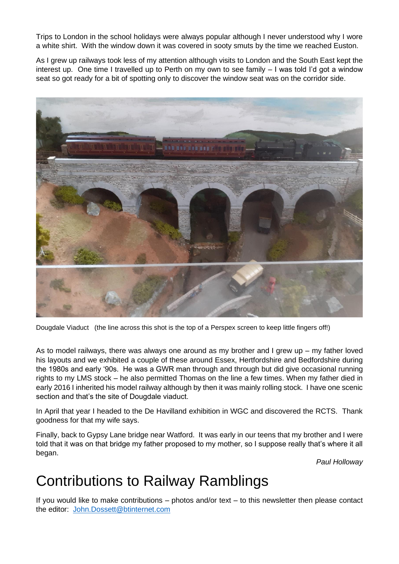Trips to London in the school holidays were always popular although I never understood why I wore a white shirt. With the window down it was covered in sooty smuts by the time we reached Euston.

As I grew up railways took less of my attention although visits to London and the South East kept the interest up. One time I travelled up to Perth on my own to see family – I was told I'd got a window seat so got ready for a bit of spotting only to discover the window seat was on the corridor side.



Dougdale Viaduct (the line across this shot is the top of a Perspex screen to keep little fingers off!)

As to model railways, there was always one around as my brother and I grew up – my father loved his layouts and we exhibited a couple of these around Essex, Hertfordshire and Bedfordshire during the 1980s and early '90s. He was a GWR man through and through but did give occasional running rights to my LMS stock – he also permitted Thomas on the line a few times. When my father died in early 2016 I inherited his model railway although by then it was mainly rolling stock. I have one scenic section and that's the site of Dougdale viaduct.

In April that year I headed to the De Havilland exhibition in WGC and discovered the RCTS. Thank goodness for that my wife says.

Finally, back to Gypsy Lane bridge near Watford. It was early in our teens that my brother and I were told that it was on that bridge my father proposed to my mother, so I suppose really that's where it all began.

*Paul Holloway* 

### Contributions to Railway Ramblings

If you would like to make contributions – photos and/or text – to this newsletter then please contact the editor: [John.Dossett@btinternet.com](mailto:John.Dossett@btinternet.com)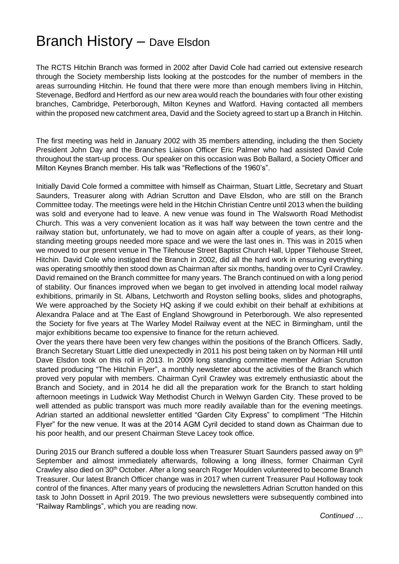#### Branch History – Dave Elsdon

The RCTS Hitchin Branch was formed in 2002 after David Cole had carried out extensive research through the Society membership lists looking at the postcodes for the number of members in the areas surrounding Hitchin. He found that there were more than enough members living in Hitchin, Stevenage, Bedford and Hertford as our new area would reach the boundaries with four other existing branches, Cambridge, Peterborough, Milton Keynes and Watford. Having contacted all members within the proposed new catchment area, David and the Society agreed to start up a Branch in Hitchin.

The first meeting was held in January 2002 with 35 members attending, including the then Society President John Day and the Branches Liaison Officer Eric Palmer who had assisted David Cole throughout the start-up process. Our speaker on this occasion was Bob Ballard, a Society Officer and Milton Keynes Branch member. His talk was "Reflections of the 1960's".

Initially David Cole formed a committee with himself as Chairman, Stuart Little, Secretary and Stuart Saunders, Treasurer along with Adrian Scrutton and Dave Elsdon, who are still on the Branch Committee today. The meetings were held in the Hitchin Christian Centre until 2013 when the building was sold and everyone had to leave. A new venue was found in The Walsworth Road Methodist Church. This was a very convenient location as it was half way between the town centre and the railway station but, unfortunately, we had to move on again after a couple of years, as their longstanding meeting groups needed more space and we were the last ones in. This was in 2015 when we moved to our present venue in The Tilehouse Street Baptist Church Hall, Upper Tilehouse Street, Hitchin. David Cole who instigated the Branch in 2002, did all the hard work in ensuring everything was operating smoothly then stood down as Chairman after six months, handing over to Cyril Crawley. David remained on the Branch committee for many years. The Branch continued on with a long period of stability. Our finances improved when we began to get involved in attending local model railway exhibitions, primarily in St. Albans, Letchworth and Royston selling books, slides and photographs, We were approached by the Society HQ asking if we could exhibit on their behalf at exhibitions at Alexandra Palace and at The East of England Showground in Peterborough. We also represented the Society for five years at The Warley Model Railway event at the NEC in Birmingham, until the major exhibitions became too expensive to finance for the return achieved.

Over the years there have been very few changes within the positions of the Branch Officers. Sadly, Branch Secretary Stuart Little died unexpectedly in 2011 his post being taken on by Norman Hill until Dave Elsdon took on this roll in 2013. In 2009 long standing committee member Adrian Scrutton started producing "The Hitchin Flyer", a monthly newsletter about the activities of the Branch which proved very popular with members. Chairman Cyril Crawley was extremely enthusiastic about the Branch and Society, and in 2014 he did all the preparation work for the Branch to start holding afternoon meetings in Ludwick Way Methodist Church in Welwyn Garden City. These proved to be well attended as public transport was much more readily available than for the evening meetings. Adrian started an additional newsletter entitled "Garden City Express" to compliment "The Hitchin Flyer" for the new venue. It was at the 2014 AGM Cyril decided to stand down as Chairman due to his poor health, and our present Chairman Steve Lacey took office.

During 2015 our Branch suffered a double loss when Treasurer Stuart Saunders passed away on 9<sup>th</sup> September and almost immediately afterwards, following a long illness, former Chairman Cyril Crawley also died on 30th October. After a long search Roger Moulden volunteered to become Branch Treasurer. Our latest Branch Officer change was in 2017 when current Treasurer Paul Holloway took control of the finances. After many years of producing the newsletters Adrian Scrutton handed on this task to John Dossett in April 2019. The two previous newsletters were subsequently combined into "Railway Ramblings", which you are reading now.

*Continued …*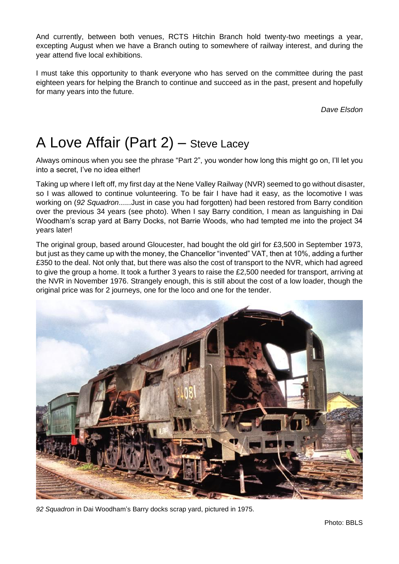And currently, between both venues, RCTS Hitchin Branch hold twenty-two meetings a year, excepting August when we have a Branch outing to somewhere of railway interest, and during the year attend five local exhibitions.

I must take this opportunity to thank everyone who has served on the committee during the past eighteen years for helping the Branch to continue and succeed as in the past, present and hopefully for many years into the future.

*Dave Elsdon*

# A Love Affair (Part 2) – Steve Lacey

Always ominous when you see the phrase "Part 2", you wonder how long this might go on, I'll let you into a secret, I've no idea either!

Taking up where I left off, my first day at the Nene Valley Railway (NVR) seemed to go without disaster, so I was allowed to continue volunteering. To be fair I have had it easy, as the locomotive I was working on (*92 Squadron*......Just in case you had forgotten) had been restored from Barry condition over the previous 34 years (see photo). When I say Barry condition, I mean as languishing in Dai Woodham's scrap yard at Barry Docks, not Barrie Woods, who had tempted me into the project 34 years later!

The original group, based around Gloucester, had bought the old girl for £3,500 in September 1973, but just as they came up with the money, the Chancellor "invented" VAT, then at 10%, adding a further £350 to the deal. Not only that, but there was also the cost of transport to the NVR, which had agreed to give the group a home. It took a further 3 years to raise the £2,500 needed for transport, arriving at the NVR in November 1976. Strangely enough, this is still about the cost of a low loader, though the original price was for 2 journeys, one for the loco and one for the tender.



*92 Squadron* in Dai Woodham's Barry docks scrap yard, pictured in 1975.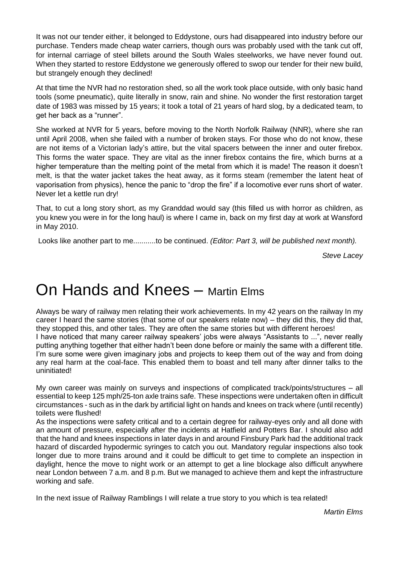It was not our tender either, it belonged to Eddystone, ours had disappeared into industry before our purchase. Tenders made cheap water carriers, though ours was probably used with the tank cut off, for internal carriage of steel billets around the South Wales steelworks, we have never found out. When they started to restore Eddystone we generously offered to swop our tender for their new build, but strangely enough they declined!

At that time the NVR had no restoration shed, so all the work took place outside, with only basic hand tools (some pneumatic), quite literally in snow, rain and shine. No wonder the first restoration target date of 1983 was missed by 15 years; it took a total of 21 years of hard slog, by a dedicated team, to get her back as a "runner".

She worked at NVR for 5 years, before moving to the North Norfolk Railway (NNR), where she ran until April 2008, when she failed with a number of broken stays. For those who do not know, these are not items of a Victorian lady's attire, but the vital spacers between the inner and outer firebox. This forms the water space. They are vital as the inner firebox contains the fire, which burns at a higher temperature than the melting point of the metal from which it is made! The reason it doesn't melt, is that the water jacket takes the heat away, as it forms steam (remember the latent heat of vaporisation from physics), hence the panic to "drop the fire" if a locomotive ever runs short of water. Never let a kettle run dry!

That, to cut a long story short, as my Granddad would say (this filled us with horror as children, as you knew you were in for the long haul) is where I came in, back on my first day at work at Wansford in May 2010.

Looks like another part to me...........to be continued. *(Editor: Part 3, will be published next month).*

*Steve Lacey*

# On Hands and Knees – Martin Elms

Always be wary of railway men relating their work achievements. In my 42 years on the railway In my career I heard the same stories (that some of our speakers relate now) – they did this, they did that, they stopped this, and other tales. They are often the same stories but with different heroes!

I have noticed that many career railway speakers' jobs were always "Assistants to ...", never really putting anything together that either hadn't been done before or mainly the same with a different title. I'm sure some were given imaginary jobs and projects to keep them out of the way and from doing any real harm at the coal-face. This enabled them to boast and tell many after dinner talks to the uninitiated!

My own career was mainly on surveys and inspections of complicated track/points/structures – all essential to keep 125 mph/25-ton axle trains safe. These inspections were undertaken often in difficult circumstances - such as in the dark by artificial light on hands and knees on track where (until recently) toilets were flushed!

As the inspections were safety critical and to a certain degree for railway-eyes only and all done with an amount of pressure, especially after the incidents at Hatfield and Potters Bar. I should also add that the hand and knees inspections in later days in and around Finsbury Park had the additional track hazard of discarded hypodermic syringes to catch you out. Mandatory regular inspections also took longer due to more trains around and it could be difficult to get time to complete an inspection in daylight, hence the move to night work or an attempt to get a line blockage also difficult anywhere near London between 7 a.m. and 8 p.m. But we managed to achieve them and kept the infrastructure working and safe.

In the next issue of Railway Ramblings I will relate a true story to you which is tea related!

*Martin Elms*